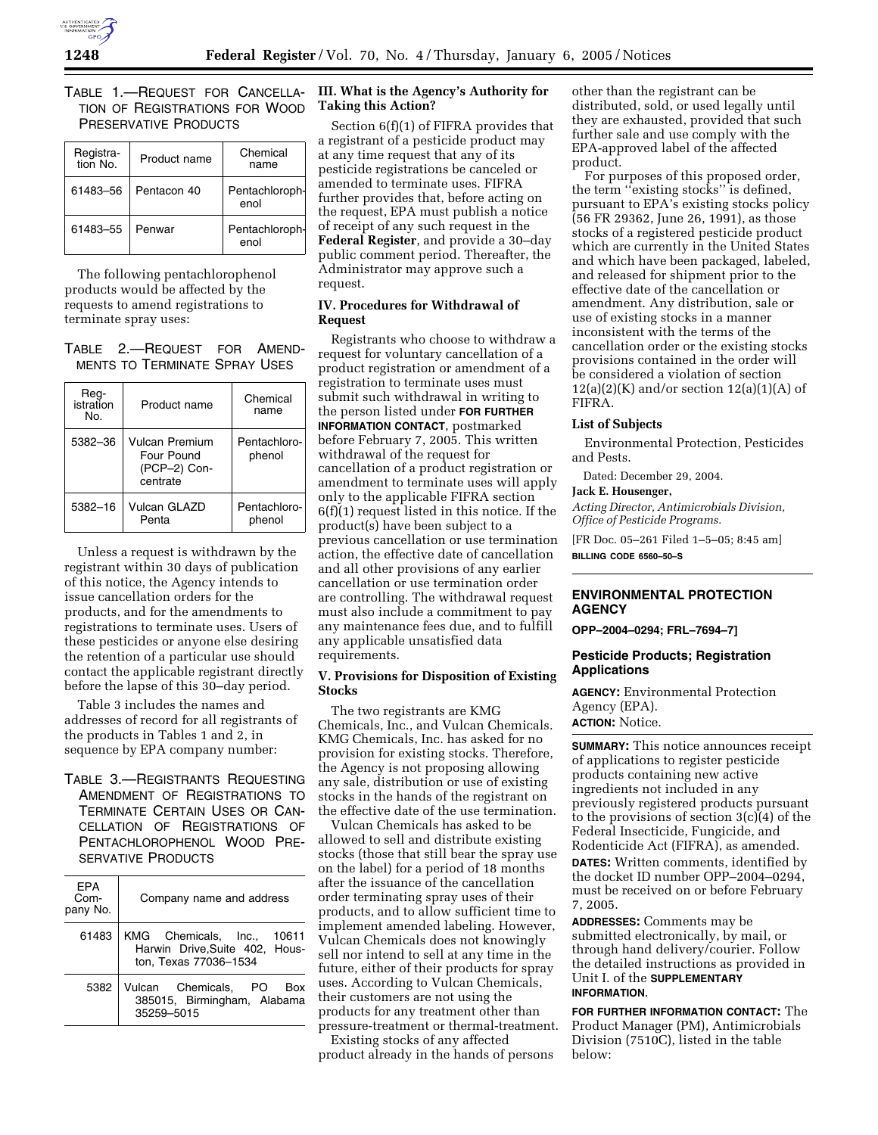

# TABLE 1.—REQUEST FOR CANCELLA-TION OF REGISTRATIONS FOR WOOD PRESERVATIVE PRODUCTS

| Registra-<br>tion No. | Product name | Chemical<br>name       |
|-----------------------|--------------|------------------------|
| 61483-56              | Pentacon 40  | Pentachloroph-<br>enol |
| 61483-55              | Penwar       | Pentachloroph-<br>enol |

The following pentachlorophenol products would be affected by the requests to amend registrations to terminate spray uses:

# TABLE 2.—REQUEST FOR AMEND-MENTS TO TERMINATE SPRAY USES

| Reg-<br>istration<br>No. | Product name                                             | Chemical<br>name       |
|--------------------------|----------------------------------------------------------|------------------------|
| 5382-36                  | Vulcan Premium<br>Four Pound<br>(PCP-2) Con-<br>centrate | Pentachloro-<br>phenol |
| 5382-16                  | Vulcan GLAZD<br>Penta                                    | Pentachloro-<br>phenol |

Unless a request is withdrawn by the registrant within 30 days of publication of this notice, the Agency intends to issue cancellation orders for the products, and for the amendments to registrations to terminate uses. Users of these pesticides or anyone else desiring the retention of a particular use should contact the applicable registrant directly before the lapse of this 30–day period.

Table 3 includes the names and addresses of record for all registrants of the products in Tables 1 and 2, in sequence by EPA company number:

TABLE 3.—REGISTRANTS REQUESTING AMENDMENT OF REGISTRATIONS TO TERMINATE CERTAIN USES OR CAN-CELLATION OF REGISTRATIONS OF PENTACHLOROPHENOL WOOD PRE-SERVATIVE PRODUCTS

| <b>EPA</b><br>Com-<br>pany No. | Company name and address                                                              |  |
|--------------------------------|---------------------------------------------------------------------------------------|--|
| 61483                          | KMG Chemicals, Inc., 10611<br>Harwin Drive, Suite 402, Hous-<br>ton. Texas 77036-1534 |  |
| 5382                           | Vulcan Chemicals, PO Box<br>385015, Birmingham, Alabama<br>35259-5015                 |  |

## **III. What is the Agency's Authority for Taking this Action?**

Section 6(f)(1) of FIFRA provides that a registrant of a pesticide product may at any time request that any of its pesticide registrations be canceled or amended to terminate uses. FIFRA further provides that, before acting on the request, EPA must publish a notice of receipt of any such request in the **Federal Register**, and provide a 30–day public comment period. Thereafter, the Administrator may approve such a request.

### **IV. Procedures for Withdrawal of Request**

Registrants who choose to withdraw a request for voluntary cancellation of a product registration or amendment of a registration to terminate uses must submit such withdrawal in writing to the person listed under **FOR FURTHER INFORMATION CONTACT**, postmarked before February 7, 2005. This written withdrawal of the request for cancellation of a product registration or amendment to terminate uses will apply only to the applicable FIFRA section 6(f)(1) request listed in this notice. If the product(s) have been subject to a previous cancellation or use termination action, the effective date of cancellation and all other provisions of any earlier cancellation or use termination order are controlling. The withdrawal request must also include a commitment to pay any maintenance fees due, and to fulfill any applicable unsatisfied data requirements.

## **V. Provisions for Disposition of Existing Stocks**

The two registrants are KMG Chemicals, Inc., and Vulcan Chemicals. KMG Chemicals, Inc. has asked for no provision for existing stocks. Therefore, the Agency is not proposing allowing any sale, distribution or use of existing stocks in the hands of the registrant on the effective date of the use termination.

Vulcan Chemicals has asked to be allowed to sell and distribute existing stocks (those that still bear the spray use on the label) for a period of 18 months after the issuance of the cancellation order terminating spray uses of their products, and to allow sufficient time to implement amended labeling. However, Vulcan Chemicals does not knowingly sell nor intend to sell at any time in the future, either of their products for spray uses. According to Vulcan Chemicals, their customers are not using the products for any treatment other than pressure-treatment or thermal-treatment.

Existing stocks of any affected product already in the hands of persons other than the registrant can be distributed, sold, or used legally until they are exhausted, provided that such further sale and use comply with the EPA-approved label of the affected product.

For purposes of this proposed order, the term ''existing stocks'' is defined, pursuant to EPA's existing stocks policy (56 FR 29362, June 26, 1991), as those stocks of a registered pesticide product which are currently in the United States and which have been packaged, labeled, and released for shipment prior to the effective date of the cancellation or amendment. Any distribution, sale or use of existing stocks in a manner inconsistent with the terms of the cancellation order or the existing stocks provisions contained in the order will be considered a violation of section  $12(a)(2)(K)$  and/or section  $12(a)(1)(A)$  of FIFRA.

#### **List of Subjects**

Environmental Protection, Pesticides and Pests.

Dated: December 29, 2004.

## **Jack E. Housenger,**

*Acting Director, Antimicrobials Division, Office of Pesticide Programs.*

[FR Doc. 05–261 Filed 1–5–05; 8:45 am] **BILLING CODE 6560–50–S**

### **ENVIRONMENTAL PROTECTION AGENCY**

**OPP–2004–0294; FRL–7694–7]**

### **Pesticide Products; Registration Applications**

**AGENCY:** Environmental Protection Agency (EPA). **ACTION:** Notice.

**SUMMARY:** This notice announces receipt of applications to register pesticide products containing new active ingredients not included in any previously registered products pursuant to the provisions of section 3(c)(4) of the Federal Insecticide, Fungicide, and Rodenticide Act (FIFRA), as amended.

**DATES:** Written comments, identified by the docket ID number OPP–2004–0294, must be received on or before February 7, 2005.

**ADDRESSES:** Comments may be submitted electronically, by mail, or through hand delivery/courier. Follow the detailed instructions as provided in Unit I. of the **SUPPLEMENTARY INFORMATION**.

**FOR FURTHER INFORMATION CONTACT:** The Product Manager (PM), Antimicrobials Division (7510C), listed in the table below: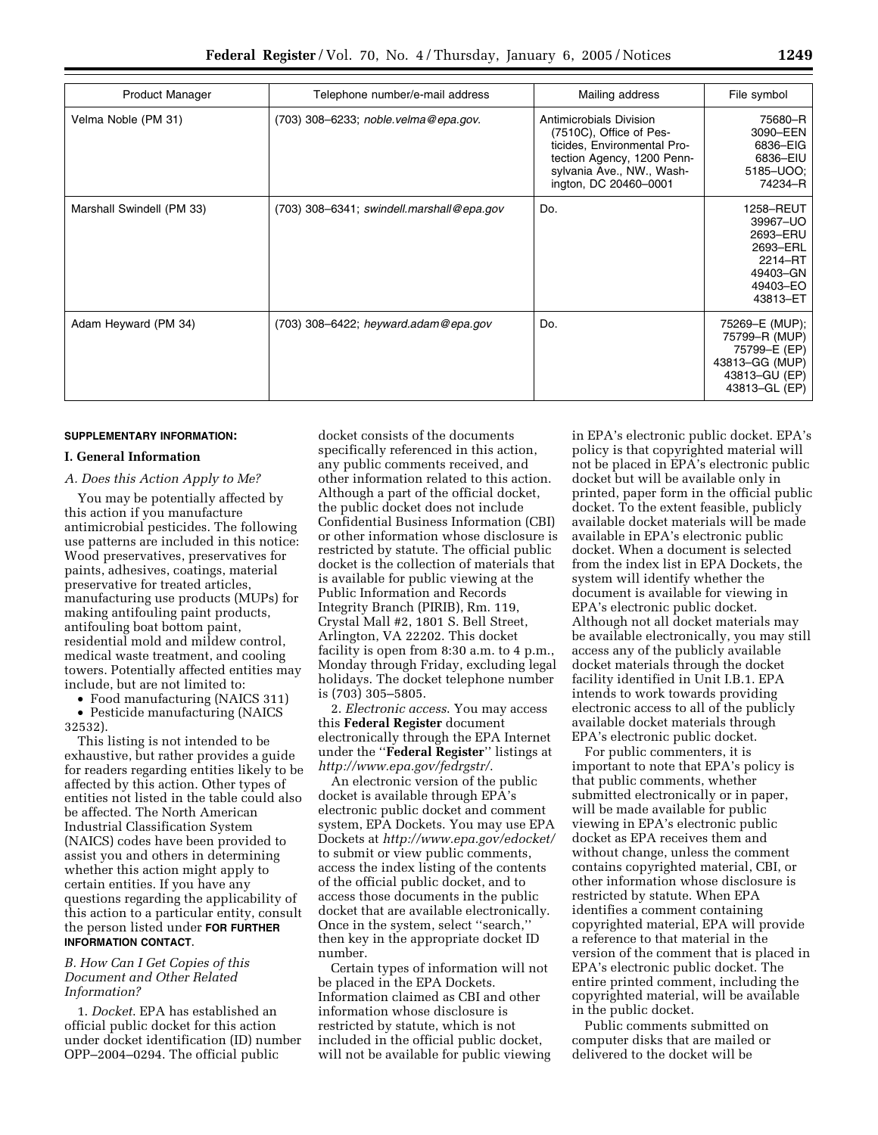| <b>Product Manager</b>    | Telephone number/e-mail address           | Mailing address                                                                                                                                                       | File symbol                                                                                         |  |  |
|---------------------------|-------------------------------------------|-----------------------------------------------------------------------------------------------------------------------------------------------------------------------|-----------------------------------------------------------------------------------------------------|--|--|
| Velma Noble (PM 31)       | (703) 308-6233; noble.velma@epa.gov.      | Antimicrobials Division<br>(7510C), Office of Pes-<br>ticides, Environmental Pro-<br>tection Agency, 1200 Penn-<br>sylvania Ave., NW., Wash-<br>ington, DC 20460-0001 | 75680-R<br>3090-EEN<br>6836-EIG<br>6836-EIU<br>5185-UOO:<br>74234-R                                 |  |  |
| Marshall Swindell (PM 33) | (703) 308-6341; swindell.marshall@epa.gov | Do.                                                                                                                                                                   | 1258-REUT<br>39967-UO<br>2693-ERU<br>2693-ERL<br>2214-RT<br>49403-GN<br>49403-EO<br>43813-ET        |  |  |
| Adam Heyward (PM 34)      | $(703)$ 308-6422; heyward.adam@epa.gov    | Do.                                                                                                                                                                   | 75269-E (MUP);<br>75799-R (MUP)<br>75799-E (EP)<br>43813-GG (MUP)<br>43813-GU (EP)<br>43813-GL (EP) |  |  |

#### **SUPPLEMENTARY INFORMATION:**

#### **I. General Information**

### *A. Does this Action Apply to Me?*

You may be potentially affected by this action if you manufacture antimicrobial pesticides. The following use patterns are included in this notice: Wood preservatives, preservatives for paints, adhesives, coatings, material preservative for treated articles, manufacturing use products (MUPs) for making antifouling paint products, antifouling boat bottom paint, residential mold and mildew control, medical waste treatment, and cooling towers. Potentially affected entities may include, but are not limited to:

• Food manufacturing (NAICS 311) • Pesticide manufacturing (NAICS

32532).

This listing is not intended to be exhaustive, but rather provides a guide for readers regarding entities likely to be affected by this action. Other types of entities not listed in the table could also be affected. The North American Industrial Classification System (NAICS) codes have been provided to assist you and others in determining whether this action might apply to certain entities. If you have any questions regarding the applicability of this action to a particular entity, consult the person listed under **FOR FURTHER INFORMATION CONTACT**.

### *B. How Can I Get Copies of this Document and Other Related Information?*

1. *Docket*. EPA has established an official public docket for this action under docket identification (ID) number OPP–2004–0294. The official public

docket consists of the documents specifically referenced in this action, any public comments received, and other information related to this action. Although a part of the official docket, the public docket does not include Confidential Business Information (CBI) or other information whose disclosure is restricted by statute. The official public docket is the collection of materials that is available for public viewing at the Public Information and Records Integrity Branch (PIRIB), Rm. 119, Crystal Mall #2, 1801 S. Bell Street, Arlington, VA 22202. This docket facility is open from 8:30 a.m. to 4 p.m., Monday through Friday, excluding legal holidays. The docket telephone number is (703) 305–5805.

2. *Electronic access*. You may access this **Federal Register** document electronically through the EPA Internet under the ''**Federal Register**'' listings at *http://www.epa.gov/fedrgstr/*.

An electronic version of the public docket is available through EPA's electronic public docket and comment system, EPA Dockets. You may use EPA Dockets at *http://www.epa.gov/edocket/* to submit or view public comments, access the index listing of the contents of the official public docket, and to access those documents in the public docket that are available electronically. Once in the system, select ''search,'' then key in the appropriate docket ID number.

Certain types of information will not be placed in the EPA Dockets. Information claimed as CBI and other information whose disclosure is restricted by statute, which is not included in the official public docket, will not be available for public viewing

in EPA's electronic public docket. EPA's policy is that copyrighted material will not be placed in EPA's electronic public docket but will be available only in printed, paper form in the official public docket. To the extent feasible, publicly available docket materials will be made available in EPA's electronic public docket. When a document is selected from the index list in EPA Dockets, the system will identify whether the document is available for viewing in EPA's electronic public docket. Although not all docket materials may be available electronically, you may still access any of the publicly available docket materials through the docket facility identified in Unit I.B.1. EPA intends to work towards providing electronic access to all of the publicly available docket materials through EPA's electronic public docket.

For public commenters, it is important to note that EPA's policy is that public comments, whether submitted electronically or in paper, will be made available for public viewing in EPA's electronic public docket as EPA receives them and without change, unless the comment contains copyrighted material, CBI, or other information whose disclosure is restricted by statute. When EPA identifies a comment containing copyrighted material, EPA will provide a reference to that material in the version of the comment that is placed in EPA's electronic public docket. The entire printed comment, including the copyrighted material, will be available in the public docket.

Public comments submitted on computer disks that are mailed or delivered to the docket will be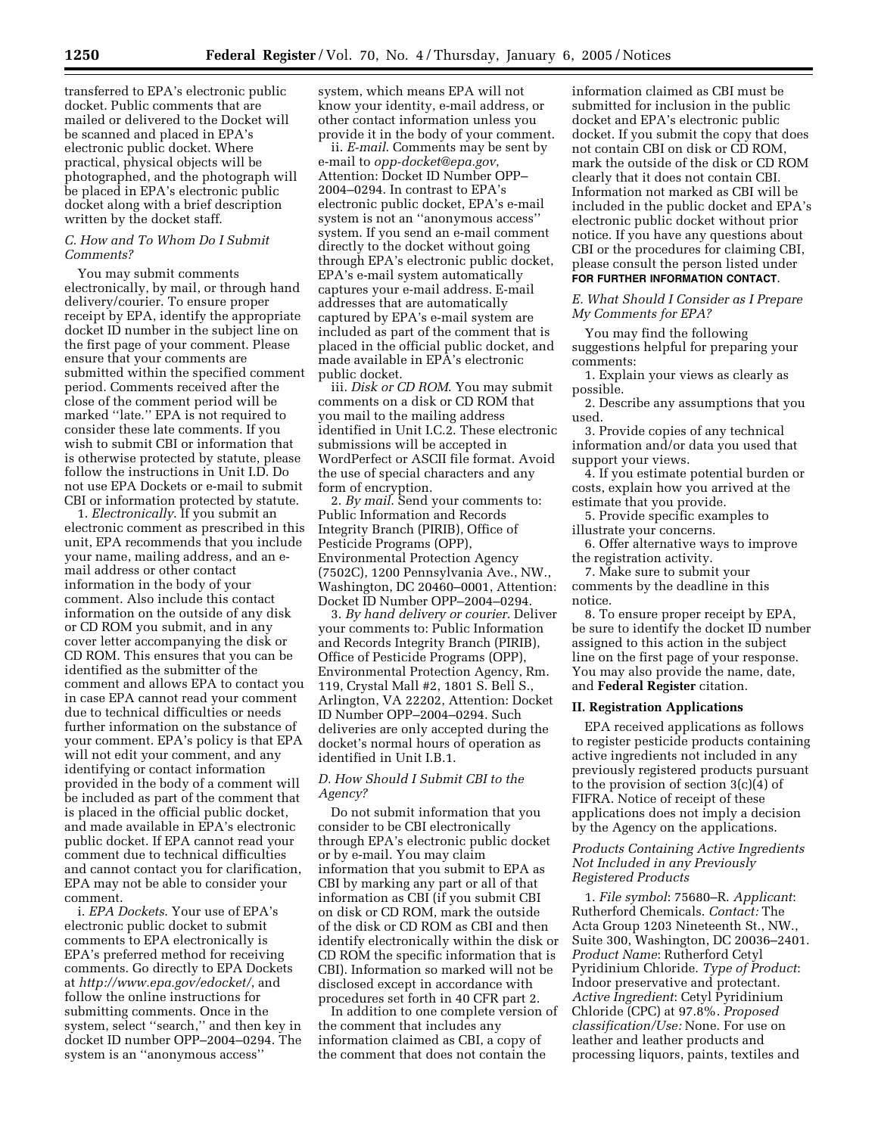transferred to EPA's electronic public docket. Public comments that are mailed or delivered to the Docket will be scanned and placed in EPA's electronic public docket. Where practical, physical objects will be photographed, and the photograph will be placed in EPA's electronic public docket along with a brief description written by the docket staff.

#### *C. How and To Whom Do I Submit Comments?*

You may submit comments electronically, by mail, or through hand delivery/courier. To ensure proper receipt by EPA, identify the appropriate docket ID number in the subject line on the first page of your comment. Please ensure that your comments are submitted within the specified comment period. Comments received after the close of the comment period will be marked ''late.'' EPA is not required to consider these late comments. If you wish to submit CBI or information that is otherwise protected by statute, please follow the instructions in Unit I.D. Do not use EPA Dockets or e-mail to submit CBI or information protected by statute.

1. *Electronically*. If you submit an electronic comment as prescribed in this unit, EPA recommends that you include your name, mailing address, and an email address or other contact information in the body of your comment. Also include this contact information on the outside of any disk or CD ROM you submit, and in any cover letter accompanying the disk or CD ROM. This ensures that you can be identified as the submitter of the comment and allows EPA to contact you in case EPA cannot read your comment due to technical difficulties or needs further information on the substance of your comment. EPA's policy is that EPA will not edit your comment, and any identifying or contact information provided in the body of a comment will be included as part of the comment that is placed in the official public docket, and made available in EPA's electronic public docket. If EPA cannot read your comment due to technical difficulties and cannot contact you for clarification, EPA may not be able to consider your comment.

i. *EPA Dockets*. Your use of EPA's electronic public docket to submit comments to EPA electronically is EPA's preferred method for receiving comments. Go directly to EPA Dockets at *http://www.epa.gov/edocket/*, and follow the online instructions for submitting comments. Once in the system, select ''search,'' and then key in docket ID number OPP–2004–0294. The system is an ''anonymous access''

system, which means EPA will not know your identity, e-mail address, or other contact information unless you provide it in the body of your comment.

ii. *E-mail*. Comments may be sent by e-mail to *opp-docket@epa.gov*, Attention: Docket ID Number OPP– 2004–0294. In contrast to EPA's electronic public docket, EPA's e-mail system is not an ''anonymous access'' system. If you send an e-mail comment directly to the docket without going through EPA's electronic public docket, EPA's e-mail system automatically captures your e-mail address. E-mail addresses that are automatically captured by EPA's e-mail system are included as part of the comment that is placed in the official public docket, and made available in EPA's electronic public docket.

iii. *Disk or CD ROM*. You may submit comments on a disk or CD ROM that you mail to the mailing address identified in Unit I.C.2. These electronic submissions will be accepted in WordPerfect or ASCII file format. Avoid the use of special characters and any form of encryption.

2. *By mail*. Send your comments to: Public Information and Records Integrity Branch (PIRIB), Office of Pesticide Programs (OPP), Environmental Protection Agency (7502C), 1200 Pennsylvania Ave., NW., Washington, DC 20460–0001, Attention: Docket ID Number OPP–2004–0294.

3. *By hand delivery or courier*. Deliver your comments to: Public Information and Records Integrity Branch (PIRIB), Office of Pesticide Programs (OPP), Environmental Protection Agency, Rm. 119, Crystal Mall #2, 1801 S. Bell S., Arlington, VA 22202, Attention: Docket ID Number OPP–2004–0294. Such deliveries are only accepted during the docket's normal hours of operation as identified in Unit I.B.1.

## *D. How Should I Submit CBI to the Agency?*

Do not submit information that you consider to be CBI electronically through EPA's electronic public docket or by e-mail. You may claim information that you submit to EPA as CBI by marking any part or all of that information as CBI (if you submit CBI on disk or CD ROM, mark the outside of the disk or CD ROM as CBI and then identify electronically within the disk or CD ROM the specific information that is CBI). Information so marked will not be disclosed except in accordance with procedures set forth in 40 CFR part 2.

In addition to one complete version of the comment that includes any information claimed as CBI, a copy of the comment that does not contain the

information claimed as CBI must be submitted for inclusion in the public docket and EPA's electronic public docket. If you submit the copy that does not contain CBI on disk or CD ROM, mark the outside of the disk or CD ROM clearly that it does not contain CBI. Information not marked as CBI will be included in the public docket and EPA's electronic public docket without prior notice. If you have any questions about CBI or the procedures for claiming CBI, please consult the person listed under **FOR FURTHER INFORMATION CONTACT**.

*E. What Should I Consider as I Prepare My Comments for EPA?*

You may find the following suggestions helpful for preparing your comments:

1. Explain your views as clearly as possible.

2. Describe any assumptions that you used.

3. Provide copies of any technical information and/or data you used that support your views.

4. If you estimate potential burden or costs, explain how you arrived at the estimate that you provide.

5. Provide specific examples to illustrate your concerns.

6. Offer alternative ways to improve the registration activity.

7. Make sure to submit your comments by the deadline in this notice.

8. To ensure proper receipt by EPA, be sure to identify the docket ID number assigned to this action in the subject line on the first page of your response. You may also provide the name, date, and **Federal Register** citation.

### **II. Registration Applications**

EPA received applications as follows to register pesticide products containing active ingredients not included in any previously registered products pursuant to the provision of section 3(c)(4) of FIFRA. Notice of receipt of these applications does not imply a decision by the Agency on the applications.

### *Products Containing Active Ingredients Not Included in any Previously Registered Products*

1. *File symbol*: 75680–R. *Applicant*: Rutherford Chemicals. *Contact:* The Acta Group 1203 Nineteenth St., NW., Suite 300, Washington, DC 20036–2401. *Product Name*: Rutherford Cetyl Pyridinium Chloride. *Type of Product*: Indoor preservative and protectant. *Active Ingredient*: Cetyl Pyridinium Chloride (CPC) at 97.8%. *Proposed classification/Use:* None. For use on leather and leather products and processing liquors, paints, textiles and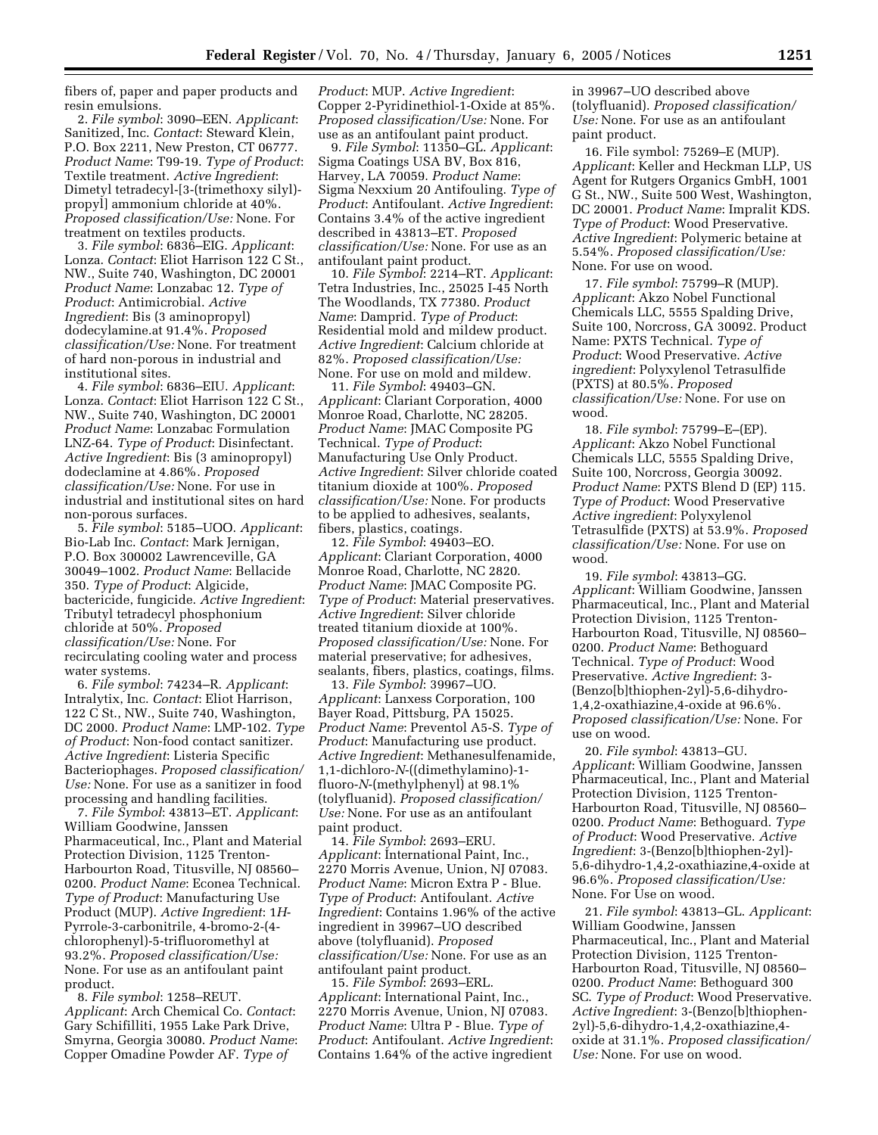fibers of, paper and paper products and resin emulsions.

2. *File symbol*: 3090–EEN. *Applicant*: Sanitized, Inc. *Contact*: Steward Klein, P.O. Box 2211, New Preston, CT 06777. *Product Name*: T99-19. *Type of Product*: Textile treatment. *Active Ingredient*: Dimetyl tetradecyl-[3-(trimethoxy silyl) propyl] ammonium chloride at 40%. *Proposed classification/Use:* None. For treatment on textiles products.

3. *File symbol*: 6836–EIG. *Applicant*: Lonza. *Contact*: Eliot Harrison 122 C St., NW., Suite 740, Washington, DC 20001 *Product Name*: Lonzabac 12. *Type of Product*: Antimicrobial. *Active Ingredient*: Bis (3 aminopropyl) dodecylamine.at 91.4%. *Proposed classification/Use:* None. For treatment of hard non-porous in industrial and institutional sites.

4. *File symbol*: 6836–EIU. *Applicant*: Lonza. *Contact*: Eliot Harrison 122 C St., NW., Suite 740, Washington, DC 20001 *Product Name*: Lonzabac Formulation LNZ-64. *Type of Product*: Disinfectant. *Active Ingredient*: Bis (3 aminopropyl) dodeclamine at 4.86%. *Proposed classification/Use:* None. For use in industrial and institutional sites on hard non-porous surfaces.

5. *File symbol*: 5185–UOO. *Applicant*: Bio-Lab Inc. *Contact*: Mark Jernigan, P.O. Box 300002 Lawrenceville, GA 30049–1002. *Product Name*: Bellacide 350. *Type of Product*: Algicide, bactericide, fungicide. *Active Ingredient*: Tributyl tetradecyl phosphonium chloride at 50%. *Proposed classification/Use:* None. For recirculating cooling water and process water systems.

6. *File symbol*: 74234–R. *Applicant*: Intralytix, Inc. *Contact*: Eliot Harrison, 122 C St., NW., Suite 740, Washington, DC 2000. *Product Name*: LMP-102. *Type of Product*: Non-food contact sanitizer. *Active Ingredient*: Listeria Specific Bacteriophages. *Proposed classification/ Use:* None. For use as a sanitizer in food processing and handling facilities.

7. *File Symbol*: 43813–ET. *Applicant*: William Goodwine, Janssen Pharmaceutical, Inc., Plant and Material Protection Division, 1125 Trenton-Harbourton Road, Titusville, NJ 08560– 0200. *Product Name*: Econea Technical. *Type of Product*: Manufacturing Use Product (MUP). *Active Ingredient*: 1*H*-Pyrrole-3-carbonitrile, 4-bromo-2-(4 chlorophenyl)-5-trifluoromethyl at 93.2%. *Proposed classification/Use:* None. For use as an antifoulant paint product.

8. *File symbol*: 1258–REUT. *Applicant*: Arch Chemical Co. *Contact*: Gary Schifilliti, 1955 Lake Park Drive, Smyrna, Georgia 30080. *Product Name*: Copper Omadine Powder AF. *Type of* 

*Product*: MUP. *Active Ingredient*: Copper 2-Pyridinethiol-1-Oxide at 85%. *Proposed classification/Use:* None. For use as an antifoulant paint product.

9. *File Symbol*: 11350–GL. *Applicant*: Sigma Coatings USA BV, Box 816, Harvey, LA 70059. *Product Name*: Sigma Nexxium 20 Antifouling. *Type of Product*: Antifoulant. *Active Ingredient*: Contains 3.4% of the active ingredient described in 43813–ET. *Proposed classification/Use:* None. For use as an antifoulant paint product.

10. *File Symbol*: 2214–RT. *Applicant*: Tetra Industries, Inc., 25025 I-45 North The Woodlands, TX 77380. *Product Name*: Damprid. *Type of Product*: Residential mold and mildew product. *Active Ingredient*: Calcium chloride at 82%. *Proposed classification/Use:* None. For use on mold and mildew.

11. *File Symbol*: 49403–GN. *Applicant*: Clariant Corporation, 4000 Monroe Road, Charlotte, NC 28205. *Product Name*: JMAC Composite PG Technical. *Type of Product*: Manufacturing Use Only Product. *Active Ingredient*: Silver chloride coated titanium dioxide at 100%. *Proposed classification/Use:* None. For products to be applied to adhesives, sealants, fibers, plastics, coatings.

12. *File Symbol*: 49403–EO. *Applicant*: Clariant Corporation, 4000 Monroe Road, Charlotte, NC 2820. *Product Name*: JMAC Composite PG. *Type of Product*: Material preservatives. *Active Ingredient*: Silver chloride treated titanium dioxide at 100%. *Proposed classification/Use:* None. For material preservative; for adhesives, sealants, fibers, plastics, coatings, films.

13. *File Symbol*: 39967–UO. *Applicant*: Lanxess Corporation, 100 Bayer Road, Pittsburg, PA 15025. *Product Name*: Preventol A5-S. *Type of Product*: Manufacturing use product. *Active Ingredient*: Methanesulfenamide, 1,1-dichloro-*N*-((dimethylamino)-1 fluoro-*N*-(methylphenyl) at 98.1% (tolyfluanid). *Proposed classification/ Use:* None. For use as an antifoulant paint product.

14. *File Symbol*: 2693–ERU. *Applicant*: International Paint, Inc., 2270 Morris Avenue, Union, NJ 07083. *Product Name*: Micron Extra P - Blue. *Type of Product*: Antifoulant. *Active Ingredient*: Contains 1.96% of the active ingredient in 39967–UO described above (tolyfluanid). *Proposed classification/Use:* None. For use as an antifoulant paint product.

15. *File Symbol*: 2693–ERL. *Applicant*: International Paint, Inc., 2270 Morris Avenue, Union, NJ 07083. *Product Name*: Ultra P - Blue. *Type of Product*: Antifoulant. *Active Ingredient*: Contains 1.64% of the active ingredient

in 39967–UO described above (tolyfluanid). *Proposed classification/ Use:* None. For use as an antifoulant paint product.

16. File symbol: 75269–E (MUP). *Applicant*: Keller and Heckman LLP, US Agent for Rutgers Organics GmbH, 1001 G St., NW., Suite 500 West, Washington, DC 20001. *Product Name*: Impralit KDS. *Type of Product*: Wood Preservative. *Active Ingredient*: Polymeric betaine at 5.54%. *Proposed classification/Use:* None. For use on wood.

17. *File symbol*: 75799–R (MUP). *Applicant*: Akzo Nobel Functional Chemicals LLC, 5555 Spalding Drive, Suite 100, Norcross, GA 30092. Product Name: PXTS Technical. *Type of Product*: Wood Preservative. *Active ingredient*: Polyxylenol Tetrasulfide (PXTS) at 80.5%. *Proposed classification/Use:* None. For use on wood.

18. *File symbol*: 75799–E–(EP). *Applicant*: Akzo Nobel Functional Chemicals LLC, 5555 Spalding Drive, Suite 100, Norcross, Georgia 30092. *Product Name*: PXTS Blend D (EP) 115. *Type of Product*: Wood Preservative *Active ingredient*: Polyxylenol Tetrasulfide (PXTS) at 53.9%. *Proposed classification/Use:* None. For use on wood.

19. *File symbol*: 43813–GG. *Applicant*: William Goodwine, Janssen Pharmaceutical, Inc., Plant and Material Protection Division, 1125 Trenton-Harbourton Road, Titusville, NJ 08560– 0200. *Product Name*: Bethoguard Technical. *Type of Product*: Wood Preservative. *Active Ingredient*: 3- (Benzo[b]thiophen-2yl)-5,6-dihydro-1,4,2-oxathiazine,4-oxide at 96.6%. *Proposed classification/Use:* None. For use on wood.

20. *File symbol*: 43813–GU. *Applicant*: William Goodwine, Janssen Pharmaceutical, Inc., Plant and Material Protection Division, 1125 Trenton-Harbourton Road, Titusville, NJ 08560– 0200. *Product Name*: Bethoguard. *Type of Product*: Wood Preservative. *Active Ingredient*: 3-(Benzo[b]thiophen-2yl)- 5,6-dihydro-1,4,2-oxathiazine,4-oxide at 96.6%. *Proposed classification/Use:* None. For Use on wood.

21. *File symbol*: 43813–GL. *Applicant*: William Goodwine, Janssen Pharmaceutical, Inc., Plant and Material Protection Division, 1125 Trenton-Harbourton Road, Titusville, NJ 08560– 0200. *Product Name*: Bethoguard 300 SC. *Type of Product*: Wood Preservative. *Active Ingredient*: 3-(Benzo[b]thiophen-2yl)-5,6-dihydro-1,4,2-oxathiazine,4 oxide at 31.1%. *Proposed classification/ Use:* None. For use on wood.